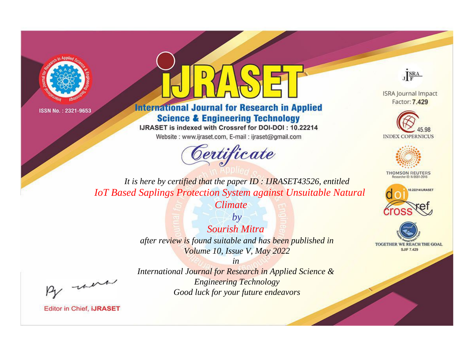



**International Journal for Research in Applied Science & Engineering Technology** 

IJRASET is indexed with Crossref for DOI-DOI: 10.22214

Website: www.ijraset.com, E-mail: ijraset@gmail.com



JERA

**ISRA Journal Impact** Factor: 7.429





**THOMSON REUTERS** 



TOGETHER WE REACH THE GOAL **SJIF 7.429** 

It is here by certified that the paper ID: IJRASET43526, entitled **IoT Based Saplings Protection System against Unsuitable Natural** 

**Climate** 

 $b\nu$ **Sourish Mitra** after review is found suitable and has been published in Volume 10, Issue V, May 2022

were

International Journal for Research in Applied Science & **Engineering Technology** Good luck for your future endeavors

 $in$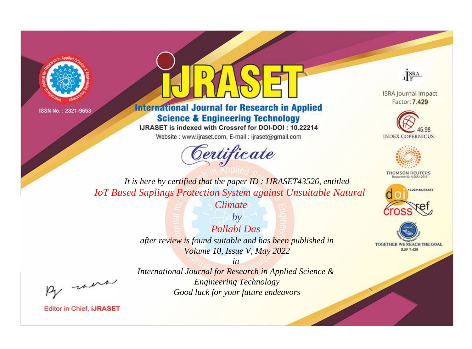



**International Journal for Research in Applied Science & Engineering Technology** 

IJRASET is indexed with Crossref for DOI-DOI: 10.22214

Website: www.ijraset.com, E-mail: ijraset@gmail.com



JERA

**ISRA Journal Impact** Factor: 7.429





**THOMSON REUTERS** 



TOGETHER WE REACH THE GOAL **SJIF 7.429** 

It is here by certified that the paper ID: IJRASET43526, entitled **IoT Based Saplings Protection System against Unsuitable Natural** 

**Climate** 

 $b\nu$ Pallabi Das after review is found suitable and has been published in Volume 10, Issue V, May 2022

were

International Journal for Research in Applied Science & **Engineering Technology** Good luck for your future endeavors

 $in$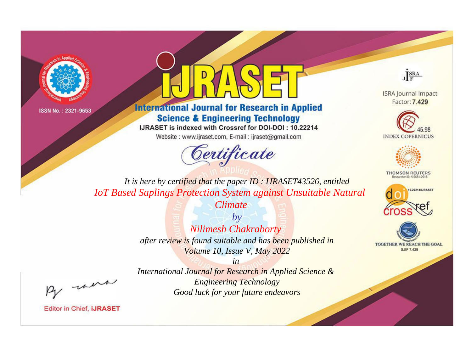



**International Journal for Research in Applied Science & Engineering Technology** 

IJRASET is indexed with Crossref for DOI-DOI: 10.22214

Website: www.ijraset.com, E-mail: ijraset@gmail.com





**ISRA Journal Impact** Factor: 7.429





**THOMSON REUTERS** 



TOGETHER WE REACH THE GOAL **SJIF 7.429** 

*It is here by certified that the paper ID : IJRASET43526, entitled IoT Based Saplings Protection System against Unsuitable Natural* 

*Climate*

*by Nilimesh Chakraborty after review is found suitable and has been published in Volume 10, Issue V, May 2022*

, un

*International Journal for Research in Applied Science & Engineering Technology Good luck for your future endeavors*

*in*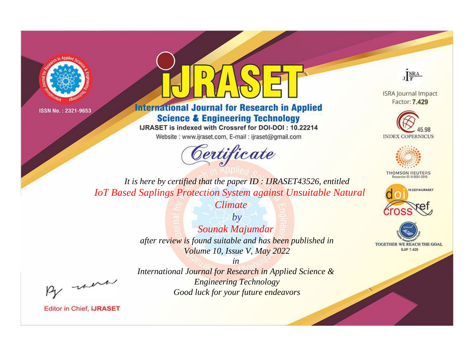



**International Journal for Research in Applied Science & Engineering Technology** 

IJRASET is indexed with Crossref for DOI-DOI: 10.22214

Website: www.ijraset.com, E-mail: ijraset@gmail.com





**ISRA Journal Impact** Factor: 7.429





**THOMSON REUTERS** 



TOGETHER WE REACH THE GOAL **SJIF 7.429** 

*It is here by certified that the paper ID : IJRASET43526, entitled IoT Based Saplings Protection System against Unsuitable Natural* 

*Climate*

*by Sounak Majumdar after review is found suitable and has been published in Volume 10, Issue V, May 2022*

, un

*International Journal for Research in Applied Science & Engineering Technology Good luck for your future endeavors*

*in*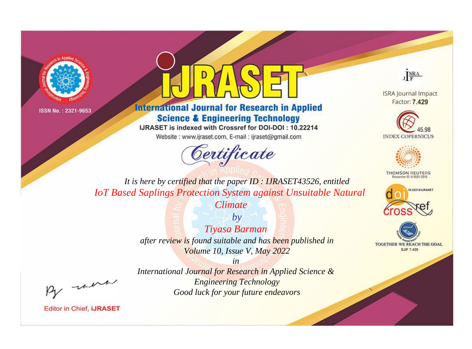



**International Journal for Research in Applied Science & Engineering Technology** 

IJRASET is indexed with Crossref for DOI-DOI: 10.22214

Website: www.ijraset.com, E-mail: ijraset@gmail.com





**ISRA Journal Impact** Factor: 7.429





**THOMSON REUTERS** 



TOGETHER WE REACH THE GOAL **SJIF 7.429** 

*It is here by certified that the paper ID : IJRASET43526, entitled IoT Based Saplings Protection System against Unsuitable Natural* 

*Climate*

*by Tiyasa Barman after review is found suitable and has been published in Volume 10, Issue V, May 2022*

, un

*International Journal for Research in Applied Science & Engineering Technology Good luck for your future endeavors*

*in*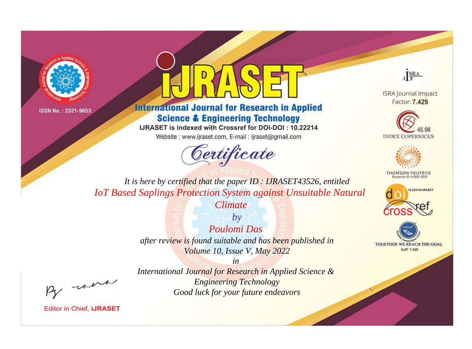



**International Journal for Research in Applied Science & Engineering Technology** 

IJRASET is indexed with Crossref for DOI-DOI: 10.22214

Website: www.ijraset.com, E-mail: ijraset@gmail.com



JERA

**ISRA Journal Impact** Factor: 7.429





**THOMSON REUTERS** 



TOGETHER WE REACH THE GOAL **SJIF 7.429** 

It is here by certified that the paper ID: IJRASET43526, entitled **IoT Based Saplings Protection System against Unsuitable Natural** 

**Climate** 

 $b\nu$ Poulomi Das after review is found suitable and has been published in Volume 10, Issue V, May 2022

were

International Journal for Research in Applied Science & **Engineering Technology** Good luck for your future endeavors

 $in$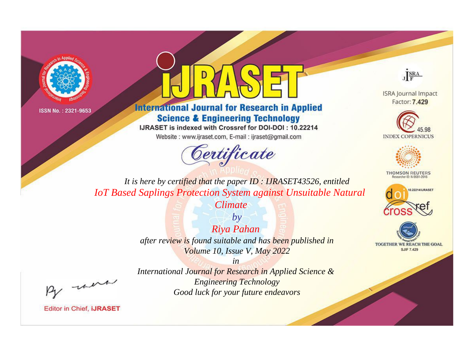



**International Journal for Research in Applied Science & Engineering Technology** 

IJRASET is indexed with Crossref for DOI-DOI: 10.22214

Website: www.ijraset.com, E-mail: ijraset@gmail.com



JERA

**ISRA Journal Impact** Factor: 7.429





**THOMSON REUTERS** 



TOGETHER WE REACH THE GOAL **SJIF 7.429** 

It is here by certified that the paper ID: IJRASET43526, entitled **IoT Based Saplings Protection System against Unsuitable Natural** 

**Climate** 

 $b\nu$ Riya Pahan after review is found suitable and has been published in Volume 10, Issue V, May 2022

were

International Journal for Research in Applied Science & **Engineering Technology** Good luck for your future endeavors

 $in$